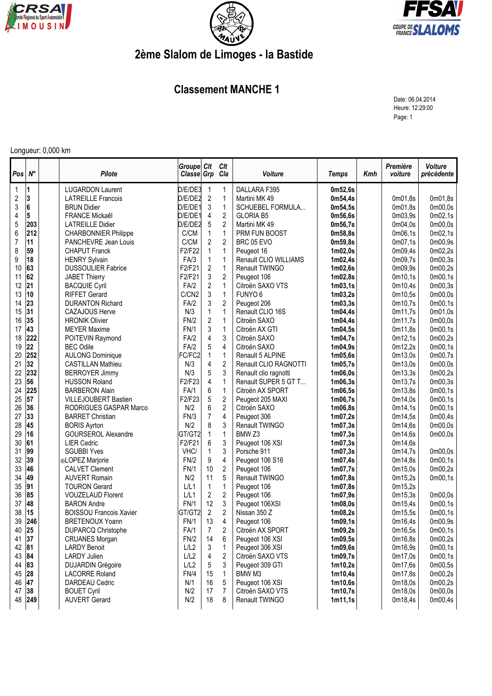





## **2ème Slalom de Limoges - la Bastide**

## **Classement MANCHE 1**

Date: 06.04.2014 Heure: 12:29:00 Page: 1

## Longueur: 0,000 km

| Pos                     | $N^{\circ}$ | Pilote                         | Groupe Clt<br>Classe Grp |                  | Clt<br>Cla              | Voiture               | <b>Temps</b>        | Kmh | Première<br>voiture | Voiture<br>précédente |
|-------------------------|-------------|--------------------------------|--------------------------|------------------|-------------------------|-----------------------|---------------------|-----|---------------------|-----------------------|
| 1                       | 1           | <b>LUGARDON Laurent</b>        | D/E/DE3                  | $\mathbf{1}$     | 1                       | DALLARA F395          | 0m52,6s             |     |                     |                       |
| $\overline{\mathbf{c}}$ | 3           | <b>LATREILLE Francois</b>      | D/E/DE2                  | $\boldsymbol{2}$ | $\mathbf{1}$            | Martini MK 49         | 0m54,4s             |     | 0m01,8s             | 0m01,8s               |
| $\sqrt{3}$              | 6           | <b>BRUN Didier</b>             | D/E/DE1                  | 3                | $\mathbf{1}$            | SCHUEBEL FORMULA      | 0m54,5s             |     | 0m01,8s             | 0 <sub>m</sub> 00,0s  |
| 4                       | 5           | <b>FRANCE Mickaêl</b>          | D/E/DE1                  | 4                | $\overline{c}$          | <b>GLORIA B5</b>      | 0m56,6s             |     | 0m03,9s             | 0m02,1s               |
| 5                       | 203         | <b>LATREILLE Didier</b>        | D/E/DE2                  | 5                | $\overline{2}$          | Martini MK 49         | 0m56,7s             |     | 0m04,0s             | 0m00,0s               |
| 6                       | 212         | <b>CHARBONNIER Philippe</b>    | C/CM                     | $\mathbf{1}$     | $\mathbf{1}$            | PRM FUN BOOST         | 0m58,8s             |     | 0m06,1s             | 0m02,1s               |
| $\overline{7}$          | 11          | PANCHEVRE Jean Louis           | C/CM                     | $\overline{c}$   | $\overline{2}$          | BRC 05 EVO            | 0m59,8s             |     | 0m07,1s             | 0m00,9s               |
| 8                       | 59          | <b>CHAPUT Franck</b>           | F2/F22                   | 1                | 1                       | Peugeot 16            | 1m02,0s             |     | 0m09.4s             | 0m02,2s               |
| 9                       | 18          | <b>HENRY Sylvain</b>           | FA/3                     | $\mathbf{1}$     | $\mathbf{1}$            | Renault CLIO WILLIAMS | 1m02,4s             |     | 0m09,7s             | 0m00,3s               |
| 10                      | 63          | <b>DUSSOULIER Fabrice</b>      | F2/F21                   | $\overline{c}$   | $\mathbf{1}$            | Renault TWINGO        | 1m02,6s             |     | 0m09,9s             | 0m00,2s               |
| 11                      | 62          | JABET Thierry                  | F2/F21                   | 3                | $\overline{2}$          | Peugeot 106           | 1m02,8s             |     | 0m10,1s             | 0m00,1s               |
| 12                      | 21          | <b>BACQUIE Cyril</b>           | FA/2                     | $\overline{2}$   | $\mathbf{1}$            | Citroën SAXO VTS      | 1m03,1s             |     | 0m10,4s             | 0m00,3s               |
| 13                      | 10          | <b>RIFFET Gerard</b>           | C/CN2                    | 3                | $\mathbf{1}$            | FUNYO <sub>6</sub>    | 1m03,2s             |     | 0m10,5s             | 0m00,0s               |
| 14                      | 23          | <b>DURANTON Richard</b>        | FA/2                     | 3                | $\overline{c}$          | Peugeot 206           | 1m03,3s             |     | 0m10,7s             | 0m00,1s               |
| 15                      | 31          | <b>CAZAJOUS Herve</b>          | N/3                      | 1                | $\mathbf{1}$            | Renault CLIO 16S      | 1m04,4s             |     | 0m11,7s             | 0m01,0s               |
| 16                      | 35          | <b>HRONIK Olivier</b>          | FN/2                     | $\overline{2}$   | $\mathbf{1}$            | Citroën SAXO          | 1m04,4s             |     | 0m11,7s             | 0m00,0s               |
| 17                      | 43          | <b>MEYER Maxime</b>            | <b>FN/1</b>              | 3                | $\mathbf{1}$            | Citroën AX GTI        | 1m04,5s             |     | 0m11,8s             | 0m00,1s               |
| 18                      | 222         | POITEVIN Raymond               | FA/2                     | 4                | 3                       | Citroën SAXO          | 1m04,7s             |     | 0m12,1s             | 0m00,2s               |
| 19                      | 22          | <b>BEC Odile</b>               | FA/2                     | 5                | 4                       | Citroën SAXO          | 1m04,9s             |     | 0m12,2s             | 0 <sub>m</sub> 00,1s  |
| 20                      | 252         | <b>AULONG Dominique</b>        | FC/FC2                   | 1                | $\mathbf{1}$            | Renault 5 ALPINE      | 1m05,6s             |     | 0m13,0s             | 0m00,7s               |
| 21                      | 32          | <b>CASTILLAN Mathieu</b>       | N/3                      | 4                | $\overline{2}$          | Renault CLIO RAGNOTTI | 1m05,7s             |     | 0m13.0s             | 0 <sub>m</sub> 00,0s  |
| 22                      | 232         | <b>BERROYER Jimmy</b>          | N/3                      | 5                | 3                       | Renault clio ragnotti | 1m06,0s             |     | 0m13,3s             | 0m00,2s               |
| 23                      | 56          | <b>HUSSON Roland</b>           | F2/F23                   | 4                | $\mathbf{1}$            | Renault SUPER 5 GT T  | 1m06,3s             |     | 0m13,7s             | 0m00,3s               |
| 24                      | 225         | <b>BARBERON Alain</b>          | FA/1                     | 6                | $\mathbf{1}$            | Citroën AX SPORT      | 1m06,5s             |     | 0m13,8s             | 0m00,1s               |
| 25                      | 57          | <b>VILLEJOUBERT Bastien</b>    | F2/F23                   | 5                | $\boldsymbol{2}$        | Peugeot 205 MAXI      | 1m06,7s             |     | 0m14,0s             | 0m00,1s               |
| 26                      | 36          | RODRIGUES GASPAR Marco         | N/2                      | 6                | $\overline{2}$          | Citroën SAXO          | 1m06,8s             |     | 0m14,1s             | 0m00,1s               |
| 27                      | 33          | <b>BARRET Christian</b>        | FN/3                     | $\overline{7}$   | 4                       | Peugeot 306           | 1m07,2s             |     | 0m14,5s             | 0m00,4s               |
| 28                      | 45          | <b>BORIS Ayrton</b>            | N/2                      | 8                | 3                       | Renault TWINGO        | 1m07,3s             |     | 0m14,6s             | 0m00,0s               |
| 29                      | 16          | <b>GOURSEROL Alexandre</b>     | GT/GT2                   | $\mathbf{1}$     | $\mathbf{1}$            | BMW <sub>Z3</sub>     | 1m07,3s             |     | 0m14,6s             | 0m00,0s               |
| 30                      | 61          | <b>LIER Cedric</b>             | F2/F21                   | 6                | 3                       | Peugeot 106 XSI       | 1m07,3s             |     | 0m14,6s             |                       |
| 31                      | 99          | <b>SGUBBI Yves</b>             | VHC/                     | $\mathbf{1}$     | 3                       | Porsche 911           | 1m07,3s             |     | 0m14,7s             | 0m00,0s               |
| 32                      | 39          | oLOPEZ Marjorie                | FN/2                     | 9                | 4                       | Peugeot 106 S16       | 1m07,4s             |     | 0m14,8s             | 0 <sub>m</sub> 00,1s  |
| 33                      | 46          | <b>CALVET Clement</b>          | FN/1                     | 10               | $\boldsymbol{2}$        | Peugeot 106           | 1m07,7s             |     | 0m15,0s             | 0m00,2s               |
| 34                      | 49          | <b>AUVERT Romain</b>           | N/2                      | 11               | 5                       | Renault TWINGO        | 1m07,8s             |     | 0m15,2s             | 0m00,1s               |
| 35                      | 91          | <b>TOURON Gerard</b>           | L/L1                     | $\mathbf{1}$     | $\mathbf{1}$            | Peugeot 106           | 1m07,8s             |     | 0m15,2s             |                       |
| 36                      | 85          | <b>VOUZELAUD Florent</b>       | L/L1                     | $\overline{2}$   | $\overline{2}$          | Peugeot 106           | 1m07,9s             |     | 0m15,3s             | 0m00,0s               |
| 37                      | 48          | <b>BARON Andre</b>             | <b>FN/1</b>              | 12               | 3                       | Peugeot 106XSI        | 1 <sub>m08,0s</sub> |     | 0m15,4s             | 0 <sub>m</sub> 00,1s  |
| 38                      | 15          | <b>BOISSOU Francois Xavier</b> | GT/GT2                   | $\overline{2}$   | $\overline{2}$          | Nissan 350 Z          | 1m08,2s             |     | 0m15,5s             | 0 <sub>m</sub> 00,1s  |
| 39                      | 246         | <b>BRETENOUX Yoann</b>         | <b>FN/1</b>              | 13               | 4                       | Peugeot 106           | 1m09,1s             |     | 0m16,4s             | 0m00,9s               |
| 40                      | 25          | DUPARCQ Christophe             | FA/1                     | $\overline{7}$   | $\overline{\mathbf{c}}$ | Citroën AX SPORT      | 1m09,2s             |     | 0m16,5s             | 0m00,1s               |
| 41                      | 37          | <b>CRUANES Morgan</b>          | FN/2                     | 14               | 6                       | Peugeot 106 XSI       | 1m09,5s             |     | 0m16,8s             | 0 <sub>m</sub> 00,2s  |
| 42                      | 81          | <b>LARDY Benoit</b>            | L/L2                     | 3                | 1                       | Peugeot 306 XSI       | 1m09,6s             |     | 0m16,9s             | 0 <sub>m</sub> 00,1s  |
| 43                      | 84          | <b>LARDY Julien</b>            | L/L2                     | 4                | $\overline{2}$          | Citroën SAXO VTS      | 1m09,7s             |     | 0m17,0s             | 0 <sub>m00,1s</sub>   |
| 44                      | 83          | <b>DUJARDIN Grégoire</b>       | L/L2                     | 5                | 3                       | Peugeot 309 GTI       | 1m10,2s             |     | 0m17,6s             | 0 <sub>m00,5s</sub>   |
| 45                      | 28          | <b>LACORRE Roland</b>          | FN/4                     | 15               | 1                       | BMW M3                | 1m10,4s             |     | 0m17,8s             | 0m00,2s               |
| 46                      | 47          | DARDEAU Cedric                 | N/1                      | 16               | 5                       | Peugeot 106 XSI       | 1 <sub>m10,6s</sub> |     | 0m18,0s             | 0m00,2s               |
| 47                      | 38          | <b>BOUET Cyril</b>             | N/2                      | 17               | 7                       | Citroën SAXO VTS      | 1m10,7s             |     | 0m18,0s             | 0 <sub>m</sub> 00,0s  |
| 48                      | 249         | <b>AUVERT Gerard</b>           | N/2                      | 18               | 8                       | Renault TWINGO        | 1m11,1s             |     | 0m18,4s             | 0m00,4s               |